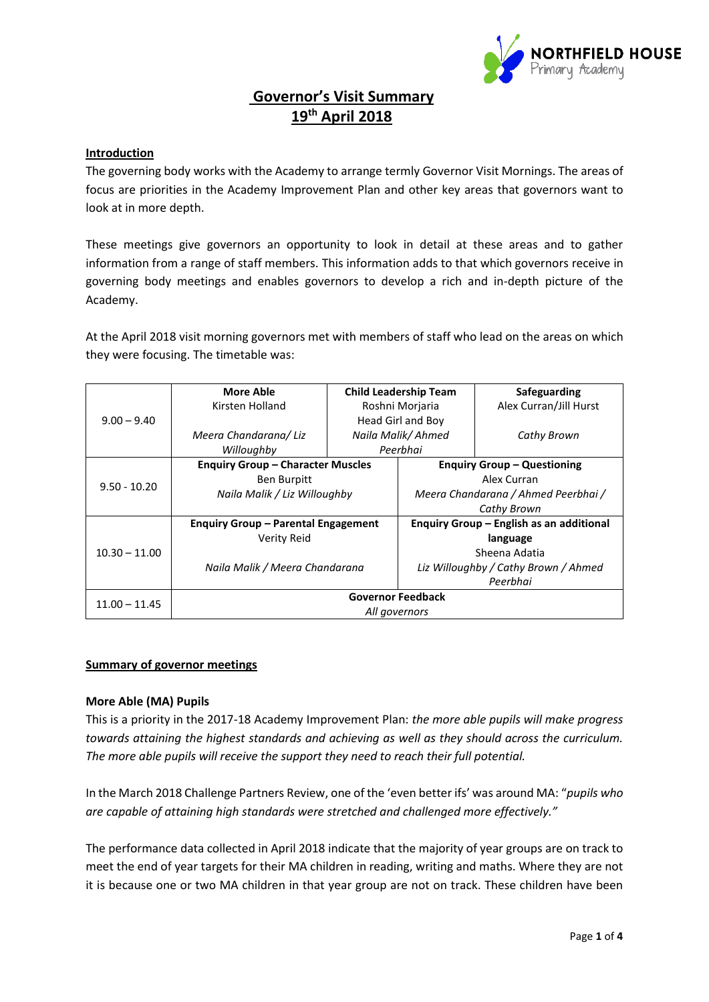

# **Governor's Visit Summary 19th April 2018**

# **Introduction**

The governing body works with the Academy to arrange termly Governor Visit Mornings. The areas of focus are priorities in the Academy Improvement Plan and other key areas that governors want to look at in more depth.

These meetings give governors an opportunity to look in detail at these areas and to gather information from a range of staff members. This information adds to that which governors receive in governing body meetings and enables governors to develop a rich and in-depth picture of the Academy.

At the April 2018 visit morning governors met with members of staff who lead on the areas on which they were focusing. The timetable was:

|                 | <b>More Able</b>                           | <b>Child Leadership Team</b> |                                          | Safeguarding           |
|-----------------|--------------------------------------------|------------------------------|------------------------------------------|------------------------|
| $9.00 - 9.40$   | Kirsten Holland                            | Roshni Morjaria              |                                          | Alex Curran/Jill Hurst |
|                 |                                            | Head Girl and Boy            |                                          |                        |
|                 | Meera Chandarana/Liz                       | Naila Malik/Ahmed            |                                          | Cathy Brown            |
|                 | Willoughby                                 | Peerbhai                     |                                          |                        |
| $9.50 - 10.20$  | <b>Enquiry Group - Character Muscles</b>   |                              | <b>Enquiry Group - Questioning</b>       |                        |
|                 | <b>Ben Burpitt</b>                         |                              | Alex Curran                              |                        |
|                 | Naila Malik / Liz Willoughby               |                              | Meera Chandarana / Ahmed Peerbhai /      |                        |
|                 |                                            |                              | Cathy Brown                              |                        |
| $10.30 - 11.00$ | <b>Enquiry Group - Parental Engagement</b> |                              | Enquiry Group - English as an additional |                        |
|                 | Verity Reid                                |                              | language                                 |                        |
|                 | Naila Malik / Meera Chandarana             |                              | Sheena Adatia                            |                        |
|                 |                                            |                              | Liz Willoughby / Cathy Brown / Ahmed     |                        |
|                 |                                            |                              | Peerbhai                                 |                        |
| $11.00 - 11.45$ | <b>Governor Feedback</b>                   |                              |                                          |                        |
|                 | All governors                              |                              |                                          |                        |

# **Summary of governor meetings**

#### **More Able (MA) Pupils**

This is a priority in the 2017-18 Academy Improvement Plan: *the more able pupils will make progress towards attaining the highest standards and achieving as well as they should across the curriculum. The more able pupils will receive the support they need to reach their full potential.*

In the March 2018 Challenge Partners Review, one of the 'even better ifs' was around MA: "*pupils who are capable of attaining high standards were stretched and challenged more effectively."*

The performance data collected in April 2018 indicate that the majority of year groups are on track to meet the end of year targets for their MA children in reading, writing and maths. Where they are not it is because one or two MA children in that year group are not on track. These children have been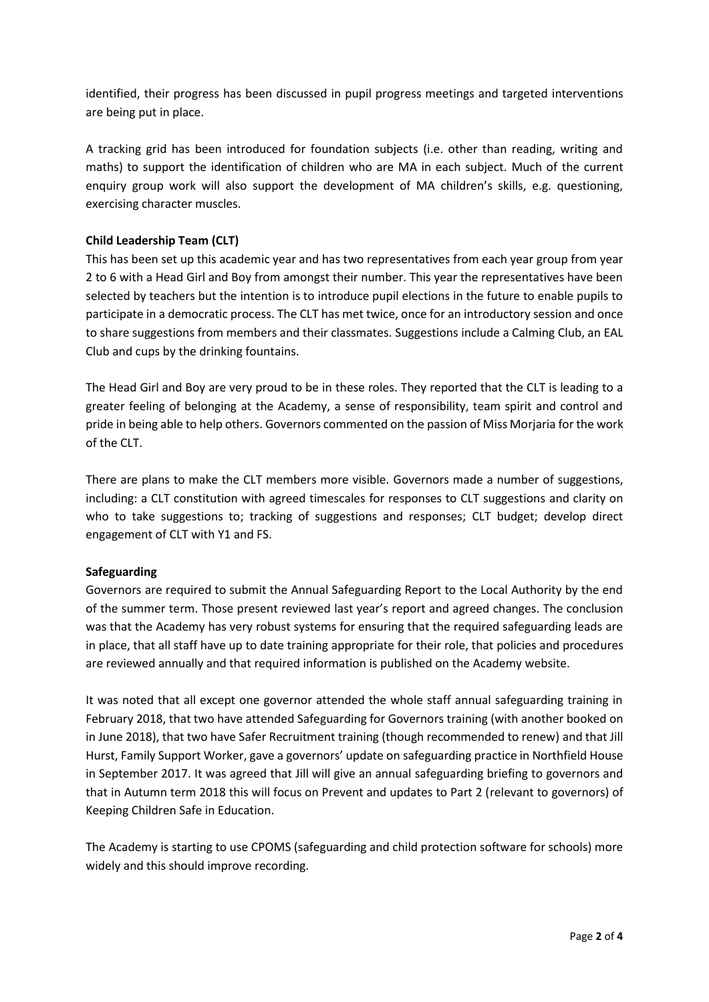identified, their progress has been discussed in pupil progress meetings and targeted interventions are being put in place.

A tracking grid has been introduced for foundation subjects (i.e. other than reading, writing and maths) to support the identification of children who are MA in each subject. Much of the current enquiry group work will also support the development of MA children's skills, e.g. questioning, exercising character muscles.

# **Child Leadership Team (CLT)**

This has been set up this academic year and has two representatives from each year group from year 2 to 6 with a Head Girl and Boy from amongst their number. This year the representatives have been selected by teachers but the intention is to introduce pupil elections in the future to enable pupils to participate in a democratic process. The CLT has met twice, once for an introductory session and once to share suggestions from members and their classmates. Suggestions include a Calming Club, an EAL Club and cups by the drinking fountains.

The Head Girl and Boy are very proud to be in these roles. They reported that the CLT is leading to a greater feeling of belonging at the Academy, a sense of responsibility, team spirit and control and pride in being able to help others. Governors commented on the passion of Miss Morjaria for the work of the CLT.

There are plans to make the CLT members more visible. Governors made a number of suggestions, including: a CLT constitution with agreed timescales for responses to CLT suggestions and clarity on who to take suggestions to; tracking of suggestions and responses; CLT budget; develop direct engagement of CLT with Y1 and FS.

# **Safeguarding**

Governors are required to submit the Annual Safeguarding Report to the Local Authority by the end of the summer term. Those present reviewed last year's report and agreed changes. The conclusion was that the Academy has very robust systems for ensuring that the required safeguarding leads are in place, that all staff have up to date training appropriate for their role, that policies and procedures are reviewed annually and that required information is published on the Academy website.

It was noted that all except one governor attended the whole staff annual safeguarding training in February 2018, that two have attended Safeguarding for Governors training (with another booked on in June 2018), that two have Safer Recruitment training (though recommended to renew) and that Jill Hurst, Family Support Worker, gave a governors' update on safeguarding practice in Northfield House in September 2017. It was agreed that Jill will give an annual safeguarding briefing to governors and that in Autumn term 2018 this will focus on Prevent and updates to Part 2 (relevant to governors) of Keeping Children Safe in Education.

The Academy is starting to use CPOMS (safeguarding and child protection software for schools) more widely and this should improve recording.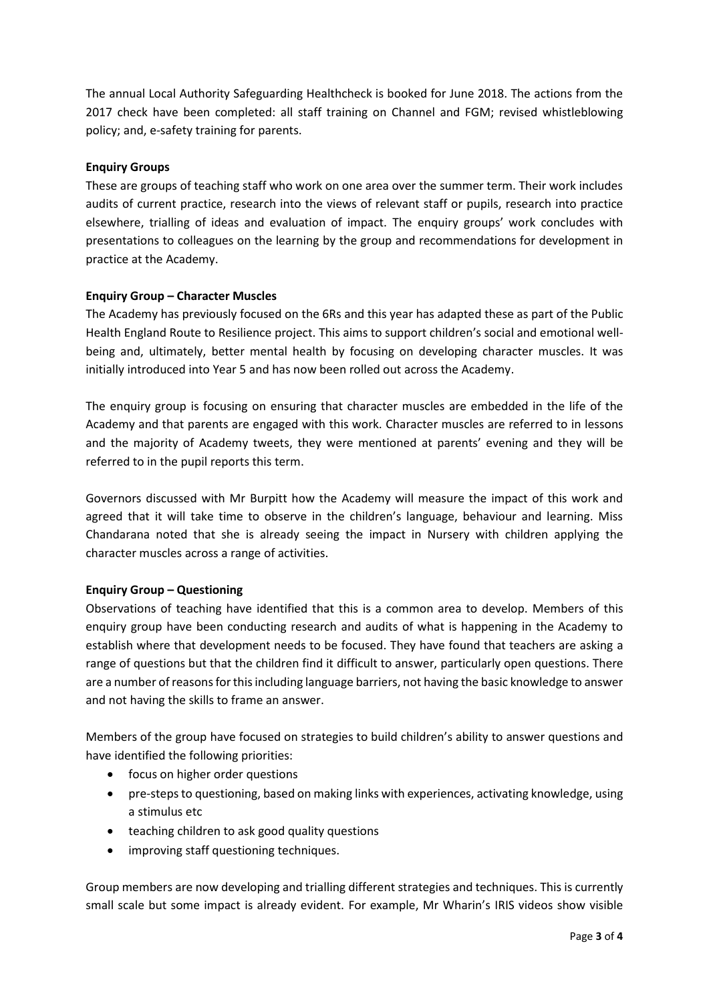The annual Local Authority Safeguarding Healthcheck is booked for June 2018. The actions from the 2017 check have been completed: all staff training on Channel and FGM; revised whistleblowing policy; and, e-safety training for parents.

# **Enquiry Groups**

These are groups of teaching staff who work on one area over the summer term. Their work includes audits of current practice, research into the views of relevant staff or pupils, research into practice elsewhere, trialling of ideas and evaluation of impact. The enquiry groups' work concludes with presentations to colleagues on the learning by the group and recommendations for development in practice at the Academy.

# **Enquiry Group – Character Muscles**

The Academy has previously focused on the 6Rs and this year has adapted these as part of the Public Health England Route to Resilience project. This aims to support children's social and emotional wellbeing and, ultimately, better mental health by focusing on developing character muscles. It was initially introduced into Year 5 and has now been rolled out across the Academy.

The enquiry group is focusing on ensuring that character muscles are embedded in the life of the Academy and that parents are engaged with this work. Character muscles are referred to in lessons and the majority of Academy tweets, they were mentioned at parents' evening and they will be referred to in the pupil reports this term.

Governors discussed with Mr Burpitt how the Academy will measure the impact of this work and agreed that it will take time to observe in the children's language, behaviour and learning. Miss Chandarana noted that she is already seeing the impact in Nursery with children applying the character muscles across a range of activities.

# **Enquiry Group – Questioning**

Observations of teaching have identified that this is a common area to develop. Members of this enquiry group have been conducting research and audits of what is happening in the Academy to establish where that development needs to be focused. They have found that teachers are asking a range of questions but that the children find it difficult to answer, particularly open questions. There are a number of reasons for this including language barriers, not having the basic knowledge to answer and not having the skills to frame an answer.

Members of the group have focused on strategies to build children's ability to answer questions and have identified the following priorities:

- focus on higher order questions
- pre-steps to questioning, based on making links with experiences, activating knowledge, using a stimulus etc
- teaching children to ask good quality questions
- improving staff questioning techniques.

Group members are now developing and trialling different strategies and techniques. This is currently small scale but some impact is already evident. For example, Mr Wharin's IRIS videos show visible